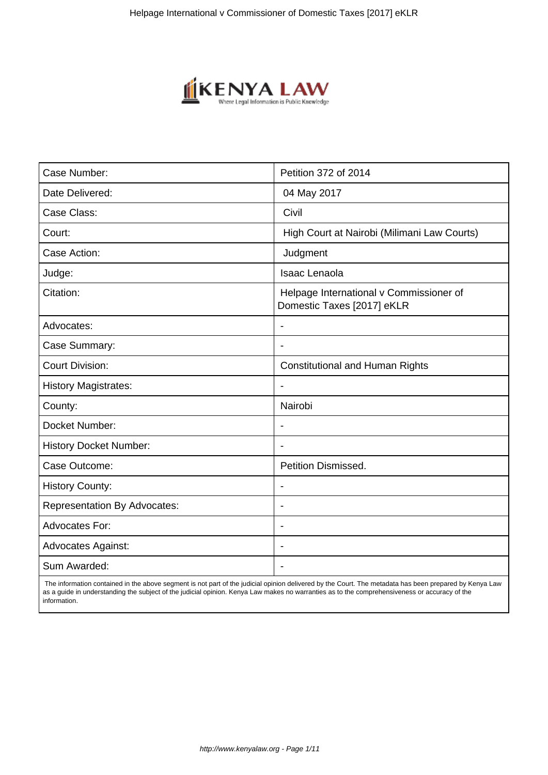

| Case Number:                        | Petition 372 of 2014                                                  |
|-------------------------------------|-----------------------------------------------------------------------|
| Date Delivered:                     | 04 May 2017                                                           |
| Case Class:                         | Civil                                                                 |
| Court:                              | High Court at Nairobi (Milimani Law Courts)                           |
| Case Action:                        | Judgment                                                              |
| Judge:                              | <b>Isaac Lenaola</b>                                                  |
| Citation:                           | Helpage International v Commissioner of<br>Domestic Taxes [2017] eKLR |
| Advocates:                          |                                                                       |
| Case Summary:                       |                                                                       |
| <b>Court Division:</b>              | <b>Constitutional and Human Rights</b>                                |
| <b>History Magistrates:</b>         |                                                                       |
| County:                             | Nairobi                                                               |
| Docket Number:                      |                                                                       |
| <b>History Docket Number:</b>       |                                                                       |
| Case Outcome:                       | <b>Petition Dismissed.</b>                                            |
| <b>History County:</b>              |                                                                       |
| <b>Representation By Advocates:</b> | $\blacksquare$                                                        |
| Advocates For:                      | $\blacksquare$                                                        |
| <b>Advocates Against:</b>           |                                                                       |
| Sum Awarded:                        |                                                                       |

 The information contained in the above segment is not part of the judicial opinion delivered by the Court. The metadata has been prepared by Kenya Law as a guide in understanding the subject of the judicial opinion. Kenya Law makes no warranties as to the comprehensiveness or accuracy of the information.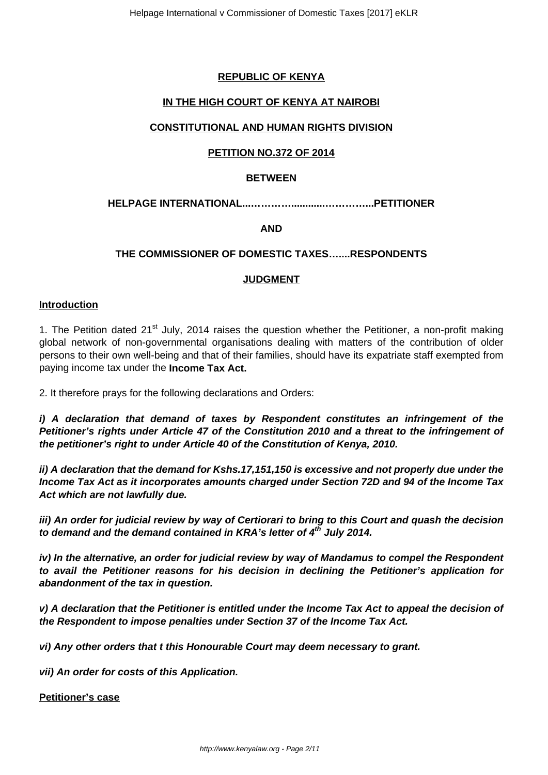# **REPUBLIC OF KENYA**

# **IN THE HIGH COURT OF KENYA AT NAIROBI**

# **CONSTITUTIONAL AND HUMAN RIGHTS DIVISION**

#### **PETITION NO.372 OF 2014**

#### **BETWEEN**

## **HELPAGE INTERNATIONAL...…………............…………...PETITIONER**

#### **AND**

## **THE COMMISSIONER OF DOMESTIC TAXES…....RESPONDENTS**

#### **JUDGMENT**

#### **Introduction**

1. The Petition dated 21<sup>st</sup> July, 2014 raises the question whether the Petitioner, a non-profit making global network of non-governmental organisations dealing with matters of the contribution of older persons to their own well-being and that of their families, should have its expatriate staff exempted from paying income tax under the **Income Tax Act.**

2. It therefore prays for the following declarations and Orders:

**i) A declaration that demand of taxes by Respondent constitutes an infringement of the Petitioner's rights under Article 47 of the Constitution 2010 and a threat to the infringement of the petitioner's right to under Article 40 of the Constitution of Kenya, 2010.**

**ii) A declaration that the demand for Kshs.17,151,150 is excessive and not properly due under the Income Tax Act as it incorporates amounts charged under Section 72D and 94 of the Income Tax Act which are not lawfully due.**

**iii) An order for judicial review by way of Certiorari to bring to this Court and quash the decision to demand and the demand contained in KRA's letter of 4th July 2014.**

**iv) In the alternative, an order for judicial review by way of Mandamus to compel the Respondent to avail the Petitioner reasons for his decision in declining the Petitioner's application for abandonment of the tax in question.**

**v) A declaration that the Petitioner is entitled under the Income Tax Act to appeal the decision of the Respondent to impose penalties under Section 37 of the Income Tax Act.**

**vi) Any other orders that t this Honourable Court may deem necessary to grant.**

**vii) An order for costs of this Application.**

**Petitioner's case**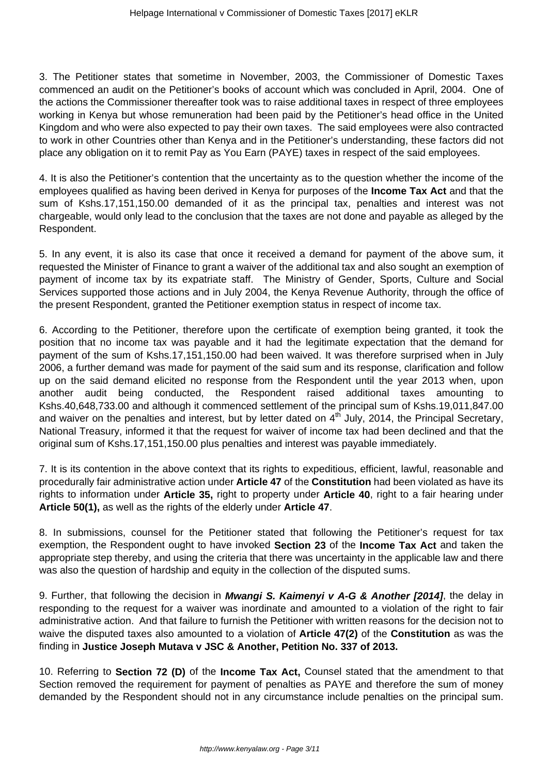3. The Petitioner states that sometime in November, 2003, the Commissioner of Domestic Taxes commenced an audit on the Petitioner's books of account which was concluded in April, 2004. One of the actions the Commissioner thereafter took was to raise additional taxes in respect of three employees working in Kenya but whose remuneration had been paid by the Petitioner's head office in the United Kingdom and who were also expected to pay their own taxes. The said employees were also contracted to work in other Countries other than Kenya and in the Petitioner's understanding, these factors did not place any obligation on it to remit Pay as You Earn (PAYE) taxes in respect of the said employees.

4. It is also the Petitioner's contention that the uncertainty as to the question whether the income of the employees qualified as having been derived in Kenya for purposes of the **Income Tax Act** and that the sum of Kshs.17,151,150.00 demanded of it as the principal tax, penalties and interest was not chargeable, would only lead to the conclusion that the taxes are not done and payable as alleged by the Respondent.

5. In any event, it is also its case that once it received a demand for payment of the above sum, it requested the Minister of Finance to grant a waiver of the additional tax and also sought an exemption of payment of income tax by its expatriate staff. The Ministry of Gender, Sports, Culture and Social Services supported those actions and in July 2004, the Kenya Revenue Authority, through the office of the present Respondent, granted the Petitioner exemption status in respect of income tax.

6. According to the Petitioner, therefore upon the certificate of exemption being granted, it took the position that no income tax was payable and it had the legitimate expectation that the demand for payment of the sum of Kshs.17,151,150.00 had been waived. It was therefore surprised when in July 2006, a further demand was made for payment of the said sum and its response, clarification and follow up on the said demand elicited no response from the Respondent until the year 2013 when, upon another audit being conducted, the Respondent raised additional taxes amounting to Kshs.40,648,733.00 and although it commenced settlement of the principal sum of Kshs.19,011,847.00 and waiver on the penalties and interest, but by letter dated on  $4<sup>th</sup>$  July, 2014, the Principal Secretary, National Treasury, informed it that the request for waiver of income tax had been declined and that the original sum of Kshs.17,151,150.00 plus penalties and interest was payable immediately.

7. It is its contention in the above context that its rights to expeditious, efficient, lawful, reasonable and procedurally fair administrative action under **Article 47** of the **Constitution** had been violated as have its rights to information under **Article 35,** right to property under **Article 40**, right to a fair hearing under **Article 50(1),** as well as the rights of the elderly under **Article 47**.

8. In submissions, counsel for the Petitioner stated that following the Petitioner's request for tax exemption, the Respondent ought to have invoked **Section 23** of the **Income Tax Act** and taken the appropriate step thereby, and using the criteria that there was uncertainty in the applicable law and there was also the question of hardship and equity in the collection of the disputed sums.

9. Further, that following the decision in **Mwangi S. Kaimenyi v A-G & Another [2014]**, the delay in responding to the request for a waiver was inordinate and amounted to a violation of the right to fair administrative action. And that failure to furnish the Petitioner with written reasons for the decision not to waive the disputed taxes also amounted to a violation of **Article 47(2)** of the **Constitution** as was the finding in **Justice Joseph Mutava v JSC & Another, Petition No. 337 of 2013.**

10. Referring to **Section 72 (D)** of the **Income Tax Act,** Counsel stated that the amendment to that Section removed the requirement for payment of penalties as PAYE and therefore the sum of money demanded by the Respondent should not in any circumstance include penalties on the principal sum.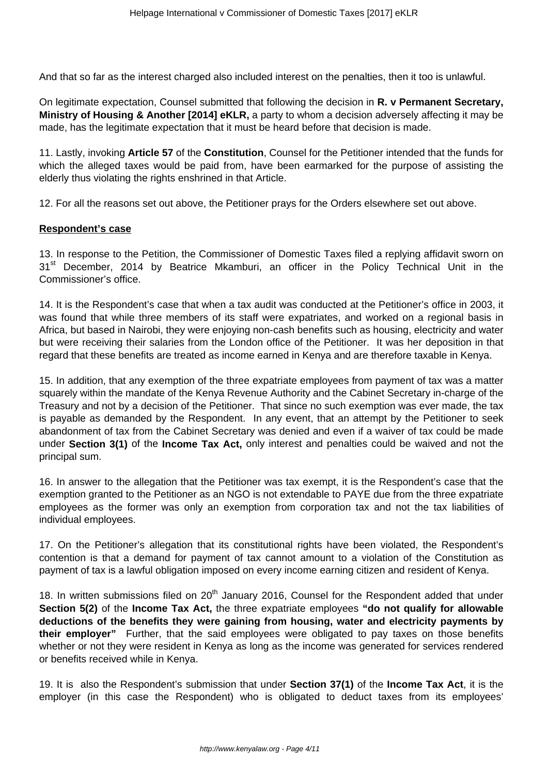And that so far as the interest charged also included interest on the penalties, then it too is unlawful.

On legitimate expectation, Counsel submitted that following the decision in **R. v Permanent Secretary, Ministry of Housing & Another [2014] eKLR,** a party to whom a decision adversely affecting it may be made, has the legitimate expectation that it must be heard before that decision is made.

11. Lastly, invoking **Article 57** of the **Constitution**, Counsel for the Petitioner intended that the funds for which the alleged taxes would be paid from, have been earmarked for the purpose of assisting the elderly thus violating the rights enshrined in that Article.

12. For all the reasons set out above, the Petitioner prays for the Orders elsewhere set out above.

#### **Respondent's case**

13. In response to the Petition, the Commissioner of Domestic Taxes filed a replying affidavit sworn on 31<sup>st</sup> December, 2014 by Beatrice Mkamburi, an officer in the Policy Technical Unit in the Commissioner's office.

14. It is the Respondent's case that when a tax audit was conducted at the Petitioner's office in 2003, it was found that while three members of its staff were expatriates, and worked on a regional basis in Africa, but based in Nairobi, they were enjoying non-cash benefits such as housing, electricity and water but were receiving their salaries from the London office of the Petitioner. It was her deposition in that regard that these benefits are treated as income earned in Kenya and are therefore taxable in Kenya.

15. In addition, that any exemption of the three expatriate employees from payment of tax was a matter squarely within the mandate of the Kenya Revenue Authority and the Cabinet Secretary in-charge of the Treasury and not by a decision of the Petitioner. That since no such exemption was ever made, the tax is payable as demanded by the Respondent. In any event, that an attempt by the Petitioner to seek abandonment of tax from the Cabinet Secretary was denied and even if a waiver of tax could be made under **Section 3(1)** of the **Income Tax Act,** only interest and penalties could be waived and not the principal sum.

16. In answer to the allegation that the Petitioner was tax exempt, it is the Respondent's case that the exemption granted to the Petitioner as an NGO is not extendable to PAYE due from the three expatriate employees as the former was only an exemption from corporation tax and not the tax liabilities of individual employees.

17. On the Petitioner's allegation that its constitutional rights have been violated, the Respondent's contention is that a demand for payment of tax cannot amount to a violation of the Constitution as payment of tax is a lawful obligation imposed on every income earning citizen and resident of Kenya.

18. In written submissions filed on  $20<sup>th</sup>$  January 2016, Counsel for the Respondent added that under **Section 5(2)** of the **Income Tax Act,** the three expatriate employees **"do not qualify for allowable deductions of the benefits they were gaining from housing, water and electricity payments by their employer"** Further, that the said employees were obligated to pay taxes on those benefits whether or not they were resident in Kenya as long as the income was generated for services rendered or benefits received while in Kenya.

19. It is also the Respondent's submission that under **Section 37(1)** of the **Income Tax Act**, it is the employer (in this case the Respondent) who is obligated to deduct taxes from its employees'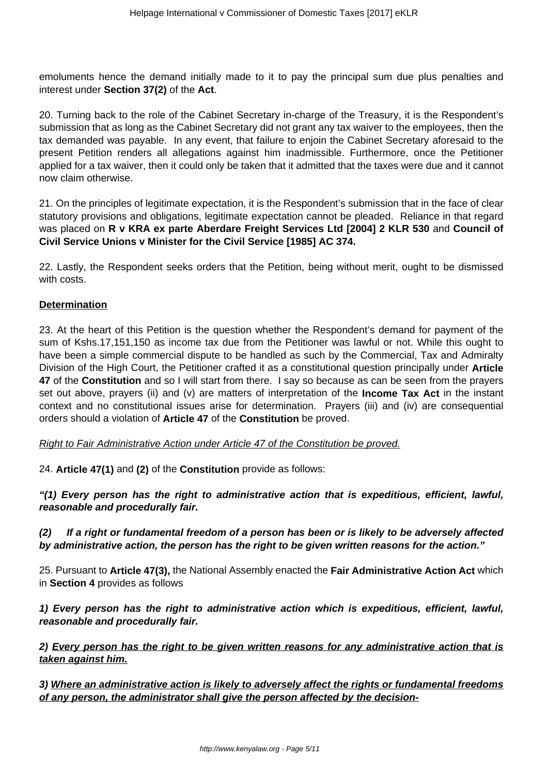emoluments hence the demand initially made to it to pay the principal sum due plus penalties and interest under **Section 37(2)** of the **Act**.

20. Turning back to the role of the Cabinet Secretary in-charge of the Treasury, it is the Respondent's submission that as long as the Cabinet Secretary did not grant any tax waiver to the employees, then the tax demanded was payable. In any event, that failure to enjoin the Cabinet Secretary aforesaid to the present Petition renders all allegations against him inadmissible. Furthermore, once the Petitioner applied for a tax waiver, then it could only be taken that it admitted that the taxes were due and it cannot now claim otherwise.

21. On the principles of legitimate expectation, it is the Respondent's submission that in the face of clear statutory provisions and obligations, legitimate expectation cannot be pleaded. Reliance in that regard was placed on **R v KRA ex parte Aberdare Freight Services Ltd [2004] 2 KLR 530** and **Council of Civil Service Unions v Minister for the Civil Service [1985] AC 374.**

22. Lastly, the Respondent seeks orders that the Petition, being without merit, ought to be dismissed with costs.

# **Determination**

23. At the heart of this Petition is the question whether the Respondent's demand for payment of the sum of Kshs.17,151,150 as income tax due from the Petitioner was lawful or not. While this ought to have been a simple commercial dispute to be handled as such by the Commercial, Tax and Admiralty Division of the High Court, the Petitioner crafted it as a constitutional question principally under **Article 47** of the **Constitution** and so I will start from there. I say so because as can be seen from the prayers set out above, prayers (ii) and (v) are matters of interpretation of the **Income Tax Act** in the instant context and no constitutional issues arise for determination. Prayers (iii) and (iv) are consequential orders should a violation of **Article 47** of the **Constitution** be proved.

Right to Fair Administrative Action under Article 47 of the Constitution be proved.

24. **Article 47(1)** and **(2)** of the **Constitution** provide as follows:

**"(1) Every person has the right to administrative action that is expeditious, efficient, lawful, reasonable and procedurally fair.**

## **(2) If a right or fundamental freedom of a person has been or is likely to be adversely affected by administrative action, the person has the right to be given written reasons for the action."**

25. Pursuant to **Article 47(3),** the National Assembly enacted the **Fair Administrative Action Act** which in **Section 4** provides as follows

**1) Every person has the right to administrative action which is expeditious, efficient, lawful, reasonable and procedurally fair.**

## **2) Every person has the right to be given written reasons for any administrative action that is taken against him.**

**3) Where an administrative action is likely to adversely affect the rights or fundamental freedoms of any person, the administrator shall give the person affected by the decision-**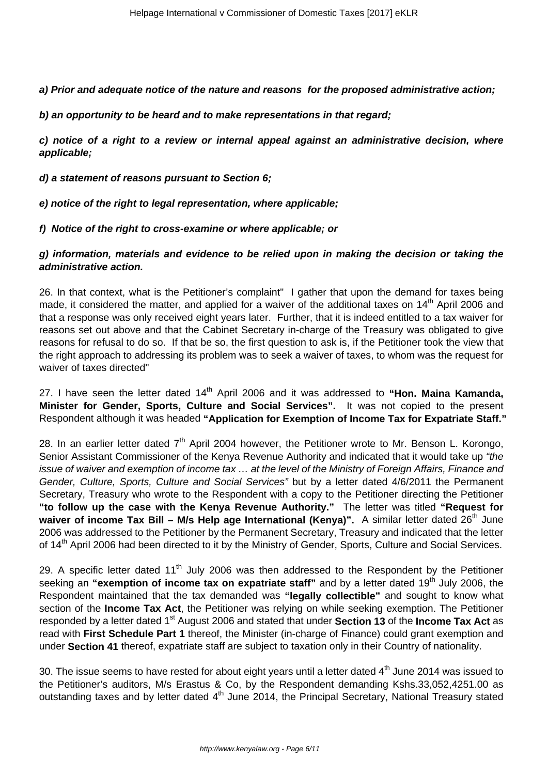**a) Prior and adequate notice of the nature and reasons for the proposed administrative action;**

**b) an opportunity to be heard and to make representations in that regard;**

**c) notice of a right to a review or internal appeal against an administrative decision, where applicable;**

**d) a statement of reasons pursuant to Section 6;**

**e) notice of the right to legal representation, where applicable;**

**f) Notice of the right to cross-examine or where applicable; or**

**g) information, materials and evidence to be relied upon in making the decision or taking the administrative action.**

26. In that context, what is the Petitioner's complaint" I gather that upon the demand for taxes being made, it considered the matter, and applied for a waiver of the additional taxes on 14<sup>th</sup> April 2006 and that a response was only received eight years later. Further, that it is indeed entitled to a tax waiver for reasons set out above and that the Cabinet Secretary in-charge of the Treasury was obligated to give reasons for refusal to do so. If that be so, the first question to ask is, if the Petitioner took the view that the right approach to addressing its problem was to seek a waiver of taxes, to whom was the request for waiver of taxes directed"

27. I have seen the letter dated 14<sup>th</sup> April 2006 and it was addressed to "Hon. Maina Kamanda, **Minister for Gender, Sports, Culture and Social Services".** It was not copied to the present Respondent although it was headed **"Application for Exemption of Income Tax for Expatriate Staff."**

28. In an earlier letter dated  $7<sup>th</sup>$  April 2004 however, the Petitioner wrote to Mr. Benson L. Korongo, Senior Assistant Commissioner of the Kenya Revenue Authority and indicated that it would take up "the issue of waiver and exemption of income tax … at the level of the Ministry of Foreign Affairs, Finance and Gender, Culture, Sports, Culture and Social Services" but by a letter dated 4/6/2011 the Permanent Secretary, Treasury who wrote to the Respondent with a copy to the Petitioner directing the Petitioner **"to follow up the case with the Kenya Revenue Authority."** The letter was titled **"Request for** waiver of income Tax Bill – M/s Help age International (Kenya)". A similar letter dated 26<sup>th</sup> June 2006 was addressed to the Petitioner by the Permanent Secretary, Treasury and indicated that the letter of 14<sup>th</sup> April 2006 had been directed to it by the Ministry of Gender, Sports, Culture and Social Services.

29. A specific letter dated  $11<sup>th</sup>$  July 2006 was then addressed to the Respondent by the Petitioner seeking an "exemption of income tax on expatriate staff" and by a letter dated 19<sup>th</sup> July 2006, the Respondent maintained that the tax demanded was **"legally collectible"** and sought to know what section of the **Income Tax Act**, the Petitioner was relying on while seeking exemption. The Petitioner responded by a letter dated 1<sup>st</sup> August 2006 and stated that under **Section 13** of the **Income Tax Act** as read with **First Schedule Part 1** thereof, the Minister (in-charge of Finance) could grant exemption and under **Section 41** thereof, expatriate staff are subject to taxation only in their Country of nationality.

30. The issue seems to have rested for about eight years until a letter dated  $4<sup>th</sup>$  June 2014 was issued to the Petitioner's auditors, M/s Erastus & Co, by the Respondent demanding Kshs.33,052,4251.00 as outstanding taxes and by letter dated 4<sup>th</sup> June 2014, the Principal Secretary, National Treasury stated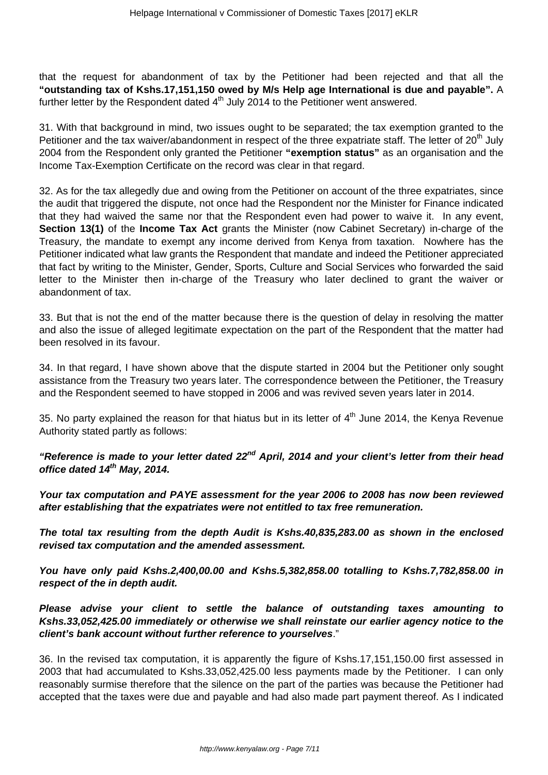that the request for abandonment of tax by the Petitioner had been rejected and that all the **"outstanding tax of Kshs.17,151,150 owed by M/s Help age International is due and payable".** A further letter by the Respondent dated  $4<sup>th</sup>$  July 2014 to the Petitioner went answered.

31. With that background in mind, two issues ought to be separated; the tax exemption granted to the Petitioner and the tax waiver/abandonment in respect of the three expatriate staff. The letter of 20<sup>th</sup> July 2004 from the Respondent only granted the Petitioner **"exemption status"** as an organisation and the Income Tax-Exemption Certificate on the record was clear in that regard.

32. As for the tax allegedly due and owing from the Petitioner on account of the three expatriates, since the audit that triggered the dispute, not once had the Respondent nor the Minister for Finance indicated that they had waived the same nor that the Respondent even had power to waive it. In any event, **Section 13(1)** of the **Income Tax Act** grants the Minister (now Cabinet Secretary) in-charge of the Treasury, the mandate to exempt any income derived from Kenya from taxation. Nowhere has the Petitioner indicated what law grants the Respondent that mandate and indeed the Petitioner appreciated that fact by writing to the Minister, Gender, Sports, Culture and Social Services who forwarded the said letter to the Minister then in-charge of the Treasury who later declined to grant the waiver or abandonment of tax.

33. But that is not the end of the matter because there is the question of delay in resolving the matter and also the issue of alleged legitimate expectation on the part of the Respondent that the matter had been resolved in its favour.

34. In that regard, I have shown above that the dispute started in 2004 but the Petitioner only sought assistance from the Treasury two years later. The correspondence between the Petitioner, the Treasury and the Respondent seemed to have stopped in 2006 and was revived seven years later in 2014.

35. No party explained the reason for that hiatus but in its letter of  $4<sup>th</sup>$  June 2014, the Kenya Revenue Authority stated partly as follows:

**"Reference is made to your letter dated 22nd April, 2014 and your client's letter from their head office dated 14th May, 2014.**

**Your tax computation and PAYE assessment for the year 2006 to 2008 has now been reviewed after establishing that the expatriates were not entitled to tax free remuneration.**

**The total tax resulting from the depth Audit is Kshs.40,835,283.00 as shown in the enclosed revised tax computation and the amended assessment.**

**You have only paid Kshs.2,400,00.00 and Kshs.5,382,858.00 totalling to Kshs.7,782,858.00 in respect of the in depth audit.**

**Please advise your client to settle the balance of outstanding taxes amounting to Kshs.33,052,425.00 immediately or otherwise we shall reinstate our earlier agency notice to the client's bank account without further reference to yourselves**."

36. In the revised tax computation, it is apparently the figure of Kshs.17,151,150.00 first assessed in 2003 that had accumulated to Kshs.33,052,425.00 less payments made by the Petitioner. I can only reasonably surmise therefore that the silence on the part of the parties was because the Petitioner had accepted that the taxes were due and payable and had also made part payment thereof. As I indicated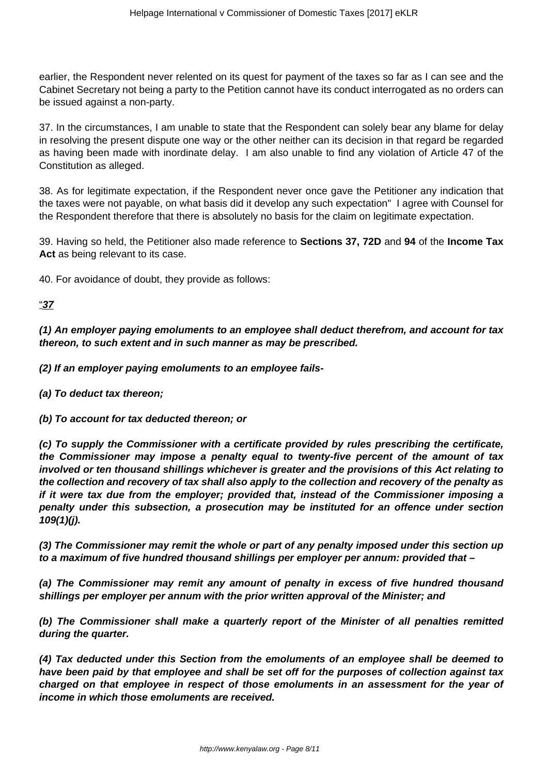earlier, the Respondent never relented on its quest for payment of the taxes so far as I can see and the Cabinet Secretary not being a party to the Petition cannot have its conduct interrogated as no orders can be issued against a non-party.

37. In the circumstances, I am unable to state that the Respondent can solely bear any blame for delay in resolving the present dispute one way or the other neither can its decision in that regard be regarded as having been made with inordinate delay. I am also unable to find any violation of Article 47 of the Constitution as alleged.

38. As for legitimate expectation, if the Respondent never once gave the Petitioner any indication that the taxes were not payable, on what basis did it develop any such expectation" I agree with Counsel for the Respondent therefore that there is absolutely no basis for the claim on legitimate expectation.

39. Having so held, the Petitioner also made reference to **Sections 37, 72D** and **94** of the **Income Tax** Act as being relevant to its case.

40. For avoidance of doubt, they provide as follows:

#### "**37**

**(1) An employer paying emoluments to an employee shall deduct therefrom, and account for tax thereon, to such extent and in such manner as may be prescribed.**

**(2) If an employer paying emoluments to an employee fails-**

**(a) To deduct tax thereon;**

**(b) To account for tax deducted thereon; or**

**(c) To supply the Commissioner with a certificate provided by rules prescribing the certificate, the Commissioner may impose a penalty equal to twenty-five percent of the amount of tax involved or ten thousand shillings whichever is greater and the provisions of this Act relating to the collection and recovery of tax shall also apply to the collection and recovery of the penalty as if it were tax due from the employer; provided that, instead of the Commissioner imposing a penalty under this subsection, a prosecution may be instituted for an offence under section 109(1)(j).**

**(3) The Commissioner may remit the whole or part of any penalty imposed under this section up to a maximum of five hundred thousand shillings per employer per annum: provided that –**

**(a) The Commissioner may remit any amount of penalty in excess of five hundred thousand shillings per employer per annum with the prior written approval of the Minister; and** 

**(b) The Commissioner shall make a quarterly report of the Minister of all penalties remitted during the quarter.**

**(4) Tax deducted under this Section from the emoluments of an employee shall be deemed to have been paid by that employee and shall be set off for the purposes of collection against tax charged on that employee in respect of those emoluments in an assessment for the year of income in which those emoluments are received.**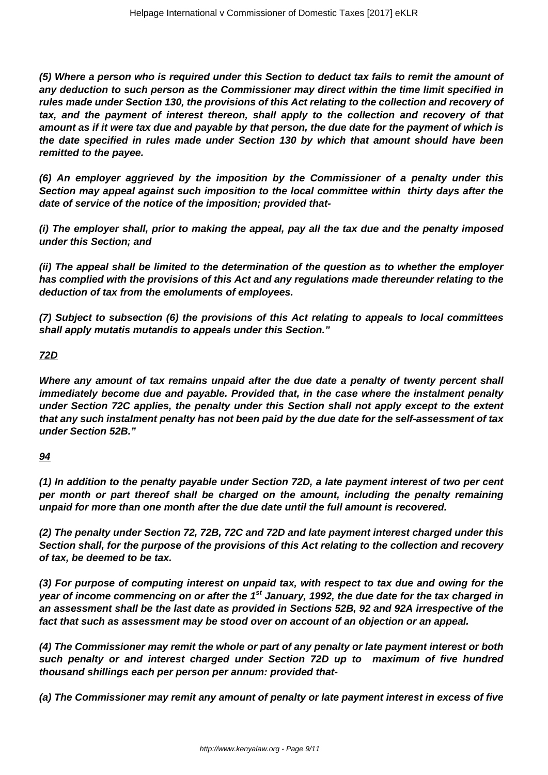**(5) Where a person who is required under this Section to deduct tax fails to remit the amount of any deduction to such person as the Commissioner may direct within the time limit specified in rules made under Section 130, the provisions of this Act relating to the collection and recovery of tax, and the payment of interest thereon, shall apply to the collection and recovery of that amount as if it were tax due and payable by that person, the due date for the payment of which is the date specified in rules made under Section 130 by which that amount should have been remitted to the payee.**

**(6) An employer aggrieved by the imposition by the Commissioner of a penalty under this Section may appeal against such imposition to the local committee within thirty days after the date of service of the notice of the imposition; provided that-**

**(i) The employer shall, prior to making the appeal, pay all the tax due and the penalty imposed under this Section; and**

**(ii) The appeal shall be limited to the determination of the question as to whether the employer has complied with the provisions of this Act and any regulations made thereunder relating to the deduction of tax from the emoluments of employees.**

**(7) Subject to subsection (6) the provisions of this Act relating to appeals to local committees shall apply mutatis mutandis to appeals under this Section."**

#### **72D**

**Where any amount of tax remains unpaid after the due date a penalty of twenty percent shall immediately become due and payable. Provided that, in the case where the instalment penalty under Section 72C applies, the penalty under this Section shall not apply except to the extent that any such instalment penalty has not been paid by the due date for the self-assessment of tax under Section 52B."**

# **94**

**(1) In addition to the penalty payable under Section 72D, a late payment interest of two per cent per month or part thereof shall be charged on the amount, including the penalty remaining unpaid for more than one month after the due date until the full amount is recovered.**

**(2) The penalty under Section 72, 72B, 72C and 72D and late payment interest charged under this Section shall, for the purpose of the provisions of this Act relating to the collection and recovery of tax, be deemed to be tax.**

**(3) For purpose of computing interest on unpaid tax, with respect to tax due and owing for the year of income commencing on or after the 1st January, 1992, the due date for the tax charged in an assessment shall be the last date as provided in Sections 52B, 92 and 92A irrespective of the fact that such as assessment may be stood over on account of an objection or an appeal.**

**(4) The Commissioner may remit the whole or part of any penalty or late payment interest or both such penalty or and interest charged under Section 72D up to maximum of five hundred thousand shillings each per person per annum: provided that-**

**(a) The Commissioner may remit any amount of penalty or late payment interest in excess of five**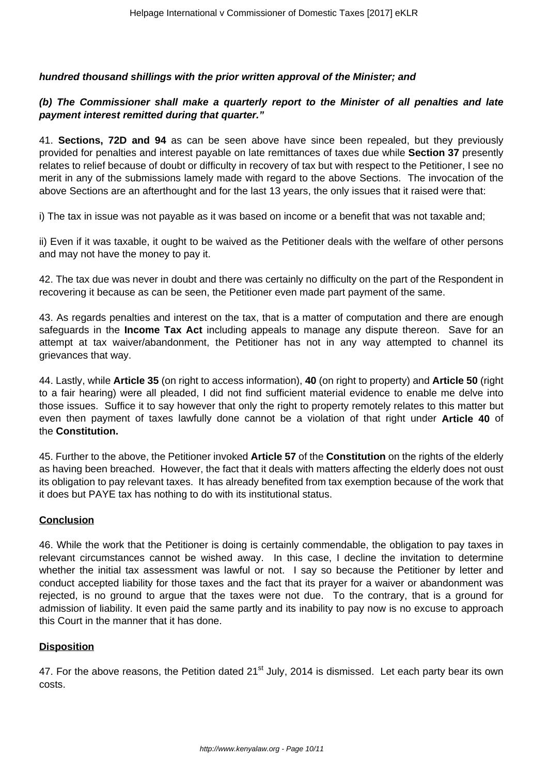#### **hundred thousand shillings with the prior written approval of the Minister; and**

## **(b) The Commissioner shall make a quarterly report to the Minister of all penalties and late payment interest remitted during that quarter."**

41. **Sections, 72D and 94** as can be seen above have since been repealed, but they previously provided for penalties and interest payable on late remittances of taxes due while **Section 37** presently relates to relief because of doubt or difficulty in recovery of tax but with respect to the Petitioner, I see no merit in any of the submissions lamely made with regard to the above Sections. The invocation of the above Sections are an afterthought and for the last 13 years, the only issues that it raised were that:

i) The tax in issue was not payable as it was based on income or a benefit that was not taxable and;

ii) Even if it was taxable, it ought to be waived as the Petitioner deals with the welfare of other persons and may not have the money to pay it.

42. The tax due was never in doubt and there was certainly no difficulty on the part of the Respondent in recovering it because as can be seen, the Petitioner even made part payment of the same.

43. As regards penalties and interest on the tax, that is a matter of computation and there are enough safeguards in the **Income Tax Act** including appeals to manage any dispute thereon. Save for an attempt at tax waiver/abandonment, the Petitioner has not in any way attempted to channel its grievances that way.

44. Lastly, while **Article 35** (on right to access information), **40** (on right to property) and **Article 50** (right to a fair hearing) were all pleaded, I did not find sufficient material evidence to enable me delve into those issues. Suffice it to say however that only the right to property remotely relates to this matter but even then payment of taxes lawfully done cannot be a violation of that right under **Article 40** of the **Constitution.**

45. Further to the above, the Petitioner invoked **Article 57** of the **Constitution** on the rights of the elderly as having been breached. However, the fact that it deals with matters affecting the elderly does not oust its obligation to pay relevant taxes. It has already benefited from tax exemption because of the work that it does but PAYE tax has nothing to do with its institutional status.

#### **Conclusion**

46. While the work that the Petitioner is doing is certainly commendable, the obligation to pay taxes in relevant circumstances cannot be wished away. In this case, I decline the invitation to determine whether the initial tax assessment was lawful or not. I say so because the Petitioner by letter and conduct accepted liability for those taxes and the fact that its prayer for a waiver or abandonment was rejected, is no ground to argue that the taxes were not due. To the contrary, that is a ground for admission of liability. It even paid the same partly and its inability to pay now is no excuse to approach this Court in the manner that it has done.

#### **Disposition**

47. For the above reasons, the Petition dated 21<sup>st</sup> July, 2014 is dismissed. Let each party bear its own costs.